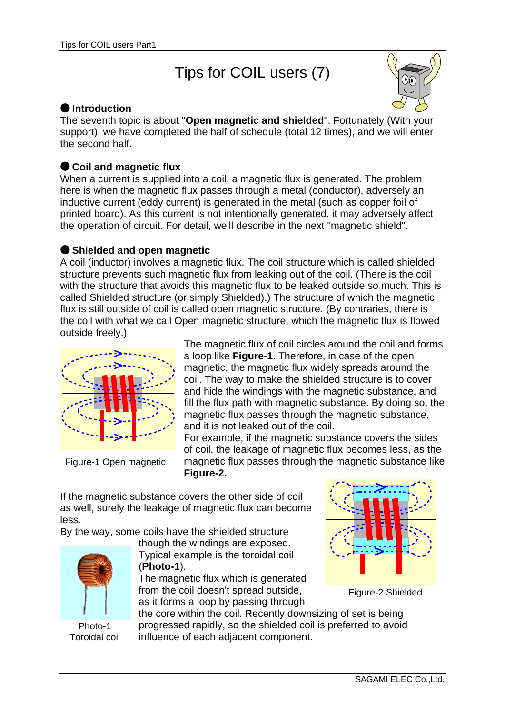# Tips for COIL users (7)



#### **Introduction**

The seventh topic is about "**Open magnetic and shielded**". Fortunately (With your support), we have completed the half of schedule (total 12 times), and we will enter the second half.

## **Coil and magnetic flux**

When a current is supplied into a coil, a magnetic flux is generated. The problem here is when the magnetic flux passes through a metal (conductor), adversely an inductive current (eddy current) is generated in the metal (such as copper foil of printed board). As this current is not intentionally generated, it may adversely affect the operation of circuit. For detail, we'll describe in the next "magnetic shield".

### **Shielded and open magnetic**

A coil (inductor) involves a magnetic flux. The coil structure which is called shielded structure prevents such magnetic flux from leaking out of the coil. (There is the coil with the structure that avoids this magnetic flux to be leaked outside so much. This is called Shielded structure (or simply Shielded).) The structure of which the magnetic flux is still outside of coil is called open magnetic structure. (By contraries, there is the coil with what we call Open magnetic structure, which the magnetic flux is flowed outside freely.)



Figure-1 Open magnetic

The magnetic flux of coil circles around the coil and forms a loop like **Figure-1**. Therefore, in case of the open magnetic, the magnetic flux widely spreads around the coil. The way to make the shielded structure is to cover and hide the windings with the magnetic substance, and fill the flux path with magnetic substance. By doing so, the magnetic flux passes through the magnetic substance, and it is not leaked out of the coil.

For example, if the magnetic substance covers the sides of coil, the leakage of magnetic flux becomes less, as the magnetic flux passes through the magnetic substance like **Figure-2.**

If the magnetic substance covers the other side of coil as well, surely the leakage of magnetic flux can become less.

By the way, some coils have the shielded structure



Photo-1 Toroidal coil

though the windings are exposed. Typical example is the toroidal coil (**Photo-1**).

The magnetic flux which is generated from the coil doesn't spread outside, as it forms a loop by passing through



Figure-2 Shielded

the core within the coil. Recently downsizing of set is being progressed rapidly, so the shielded coil is preferred to avoid influence of each adjacent component.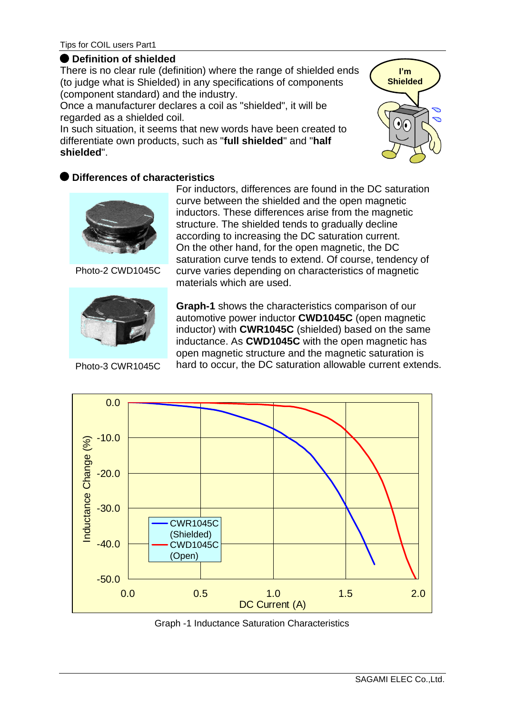#### **Definition of shielded**

There is no clear rule (definition) where the range of shielded ends (to judge what is Shielded) in any specifications of components (component standard) and the industry.

Once a manufacturer declares a coil as "shielded", it will be regarded as a shielded coil.

In such situation, it seems that new words have been created to differentiate own products, such as "**full shielded**" and "**half shielded**".



### **Differences of characteristics**



Photo-2 CWD1045C



Photo-3 CWR1045C

For inductors, differences are found in the DC saturation curve between the shielded and the open magnetic inductors. These differences arise from the magnetic structure. The shielded tends to gradually decline according to increasing the DC saturation current. On the other hand, for the open magnetic, the DC saturation curve tends to extend. Of course, tendency of curve varies depending on characteristics of magnetic materials which are used.

**Graph-1** shows the characteristics comparison of our automotive power inductor **CWD1045C** (open magnetic inductor) with **CWR1045C** (shielded) based on the same inductance. As **CWD1045C** with the open magnetic has open magnetic structure and the magnetic saturation is hard to occur, the DC saturation allowable current extends.



Graph -1 Inductance Saturation Characteristics